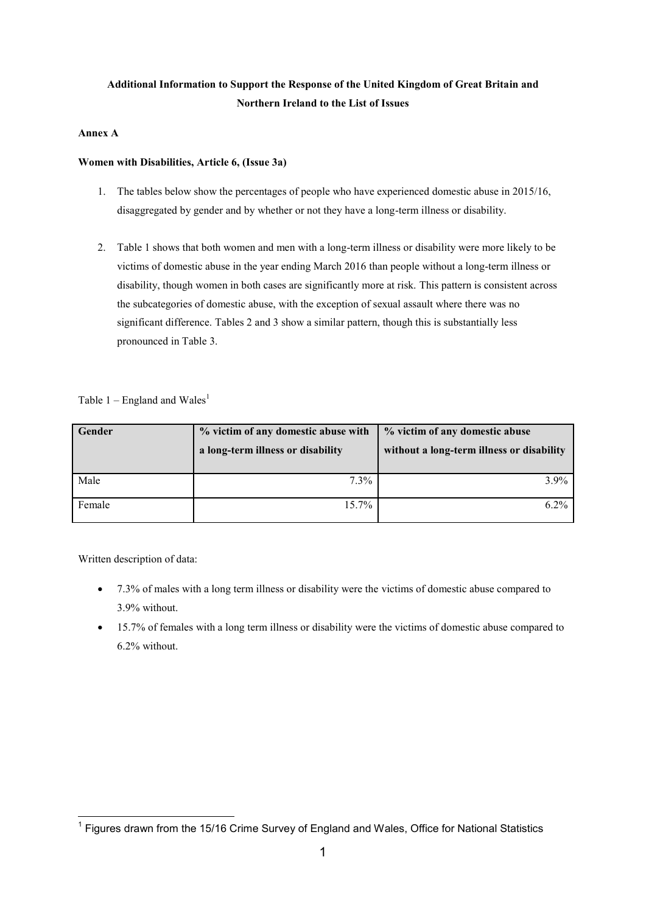# **Additional Information to Support the Response of the United Kingdom of Great Britain and Northern Ireland to the List of Issues**

## **Annex A**

## **Women with Disabilities, Article 6, (Issue 3a)**

- 1. The tables below show the percentages of people who have experienced domestic abuse in 2015/16, disaggregated by gender and by whether or not they have a long-term illness or disability.
- 2. Table 1 shows that both women and men with a long-term illness or disability were more likely to be victims of domestic abuse in the year ending March 2016 than people without a long-term illness or disability, though women in both cases are significantly more at risk. This pattern is consistent across the subcategories of domestic abuse, with the exception of sexual assault where there was no significant difference. Tables 2 and 3 show a similar pattern, though this is substantially less pronounced in Table 3.

Table  $1$  – England and Wales<sup>1</sup>

| Gender | % victim of any domestic abuse with<br>a long-term illness or disability | % victim of any domestic abuse<br>without a long-term illness or disability |
|--------|--------------------------------------------------------------------------|-----------------------------------------------------------------------------|
| Male   | $7.3\%$                                                                  | $3.9\%$                                                                     |
| Female | $15.7\%$                                                                 | 62%                                                                         |

- 7.3% of males with a long term illness or disability were the victims of domestic abuse compared to 3.9% without.
- 15.7% of females with a long term illness or disability were the victims of domestic abuse compared to 6.2% without.

<sup>————————————————————&</sup>lt;br><sup>1</sup> Figures drawn from the 15/16 Crime Survey of England and Wales, Office for National Statistics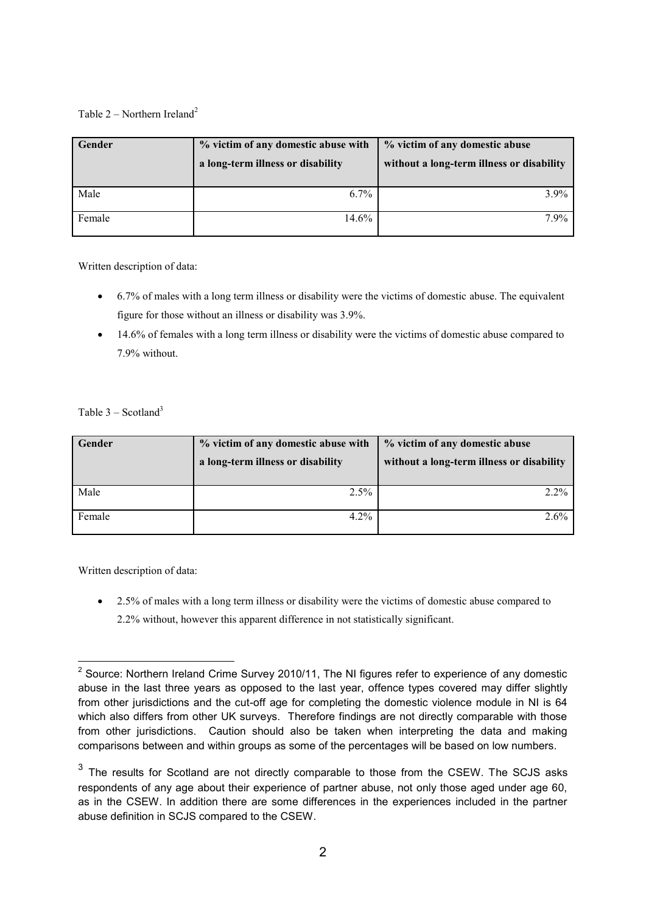# Table  $2$  – Northern Ireland<sup>2</sup>

| Gender | % victim of any domestic abuse with<br>a long-term illness or disability | % victim of any domestic abuse<br>without a long-term illness or disability |
|--------|--------------------------------------------------------------------------|-----------------------------------------------------------------------------|
| Male   | $6.7\%$                                                                  | $3.9\%$                                                                     |
| Female | 14.6%                                                                    | $7.9\%$                                                                     |

Written description of data:

- 6.7% of males with a long term illness or disability were the victims of domestic abuse. The equivalent figure for those without an illness or disability was 3.9%.
- 14.6% of females with a long term illness or disability were the victims of domestic abuse compared to 7.9% without.

## Table  $3 -$ Scotland<sup>3</sup>

| Gender | % victim of any domestic abuse with<br>a long-term illness or disability | % victim of any domestic abuse<br>without a long-term illness or disability |
|--------|--------------------------------------------------------------------------|-----------------------------------------------------------------------------|
| Male   | $2.5\%$                                                                  | $2.2\%$                                                                     |
| Female | $4.2\%$                                                                  | $2.6\%$                                                                     |

Written description of data:

• 2.5% of males with a long term illness or disability were the victims of domestic abuse compared to 2.2% without, however this apparent difference in not statistically significant.

 2 Source: Northern Ireland Crime Survey 2010/11, The NI figures refer to experience of any domestic abuse in the last three years as opposed to the last year, offence types covered may differ slightly from other jurisdictions and the cut-off age for completing the domestic violence module in NI is 64 which also differs from other UK surveys. Therefore findings are not directly comparable with those from other jurisdictions. Caution should also be taken when interpreting the data and making comparisons between and within groups as some of the percentages will be based on low numbers.

 $3$  The results for Scotland are not directly comparable to those from the CSEW. The SCJS asks respondents of any age about their experience of partner abuse, not only those aged under age 60, as in the CSEW. In addition there are some differences in the experiences included in the partner abuse definition in SCJS compared to the CSEW.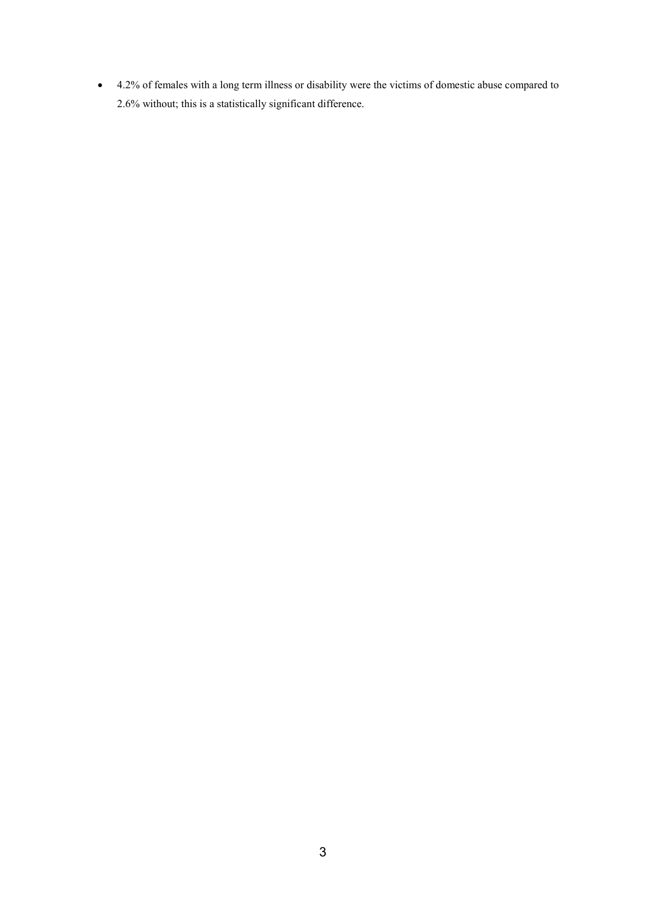4.2% of females with a long term illness or disability were the victims of domestic abuse compared to 2.6% without; this is a statistically significant difference.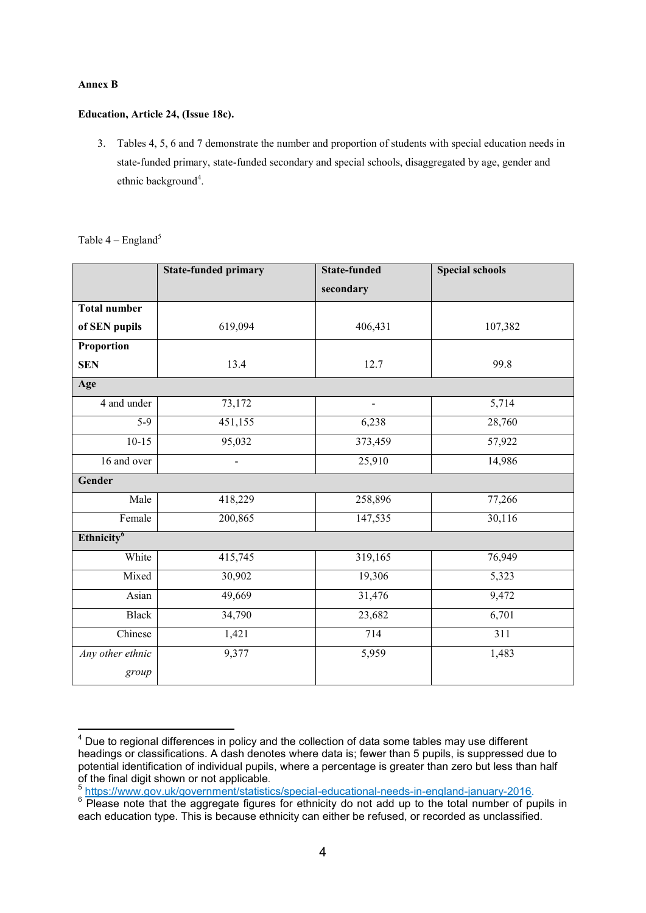#### **Annex B**

#### **Education, Article 24, (Issue 18c).**

3. Tables 4, 5, 6 and 7 demonstrate the number and proportion of students with special education needs in state-funded primary, state-funded secondary and special schools, disaggregated by age, gender and ethnic background<sup>4</sup>.

Table  $4$  – England<sup>5</sup>

|                        | <b>State-funded primary</b> | <b>State-funded</b> | <b>Special schools</b> |
|------------------------|-----------------------------|---------------------|------------------------|
|                        |                             | secondary           |                        |
| <b>Total number</b>    |                             |                     |                        |
| of SEN pupils          | 619,094                     | 406,431             | 107,382                |
| Proportion             |                             |                     |                        |
| <b>SEN</b>             | 13.4                        | 12.7                | 99.8                   |
| Age                    |                             |                     |                        |
| 4 and under            | 73,172                      |                     | 5,714                  |
| $5-9$                  | 451,155                     | 6,238               | 28,760                 |
| $10-15$                | 95,032                      | 373,459             | 57,922                 |
| 16 and over            | $\blacksquare$              | 25,910              | 14,986                 |
| Gender                 |                             |                     |                        |
| Male                   | 418,229                     | 258,896             | 77,266                 |
| Female                 | 200,865                     | 147,535             | 30,116                 |
| Ethnicity <sup>6</sup> |                             |                     |                        |
| White                  | 415,745                     | 319,165             | 76,949                 |
| Mixed                  | 30,902                      | 19,306              | 5,323                  |
| Asian                  | 49,669                      | 31,476              | 9,472                  |
| <b>Black</b>           | 34,790                      | 23,682              | 6,701                  |
| Chinese                | 1,421                       | 714                 | $\overline{311}$       |
| Any other ethnic       | 9,377                       | 5,959               | 1,483                  |
| group                  |                             |                     |                        |

 $\overline{\phantom{a}}$  $4$  Due to regional differences in policy and the collection of data some tables may use different headings or classifications. A dash denotes where data is; fewer than 5 pupils, is suppressed due to potential identification of individual pupils, where a percentage is greater than zero but less than half of the final digit shown or not applicable.<br>
<sup>5</sup> https://www.gov.uk/government/statisti

[https://www.gov.uk/government/statistics/special-educational-needs-in-england-january-2016.](https://www.gov.uk/government/statistics/special-educational-needs-in-england-january-2016)

 $6$  Please note that the aggregate figures for ethnicity do not add up to the total number of pupils in each education type. This is because ethnicity can either be refused, or recorded as unclassified.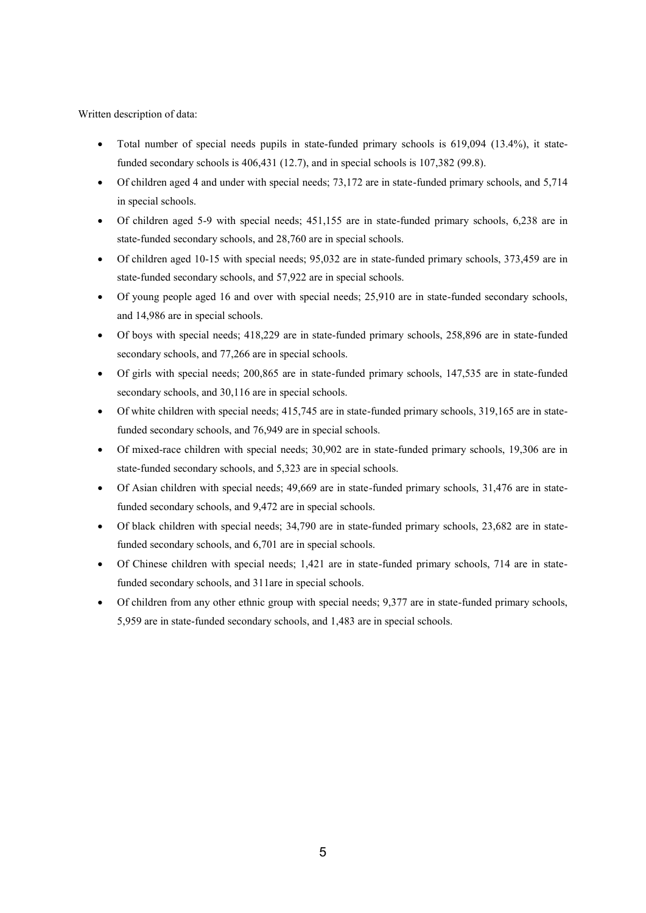- Total number of special needs pupils in state-funded primary schools is 619,094 (13.4%), it statefunded secondary schools is 406,431 (12.7), and in special schools is 107,382 (99.8).
- Of children aged 4 and under with special needs; 73,172 are in state-funded primary schools, and 5,714 in special schools.
- Of children aged 5-9 with special needs; 451,155 are in state-funded primary schools, 6,238 are in state-funded secondary schools, and 28,760 are in special schools.
- Of children aged 10-15 with special needs; 95,032 are in state-funded primary schools, 373,459 are in state-funded secondary schools, and 57,922 are in special schools.
- Of young people aged 16 and over with special needs; 25,910 are in state-funded secondary schools, and 14,986 are in special schools.
- Of boys with special needs; 418,229 are in state-funded primary schools, 258,896 are in state-funded secondary schools, and 77,266 are in special schools.
- Of girls with special needs; 200,865 are in state-funded primary schools, 147,535 are in state-funded secondary schools, and 30,116 are in special schools.
- Of white children with special needs; 415,745 are in state-funded primary schools, 319,165 are in statefunded secondary schools, and 76,949 are in special schools.
- Of mixed-race children with special needs; 30,902 are in state-funded primary schools, 19,306 are in state-funded secondary schools, and 5,323 are in special schools.
- Of Asian children with special needs; 49,669 are in state-funded primary schools, 31,476 are in statefunded secondary schools, and 9,472 are in special schools.
- Of black children with special needs; 34,790 are in state-funded primary schools, 23,682 are in statefunded secondary schools, and 6,701 are in special schools.
- Of Chinese children with special needs; 1,421 are in state-funded primary schools, 714 are in statefunded secondary schools, and 311are in special schools.
- Of children from any other ethnic group with special needs; 9,377 are in state-funded primary schools, 5,959 are in state-funded secondary schools, and 1,483 are in special schools.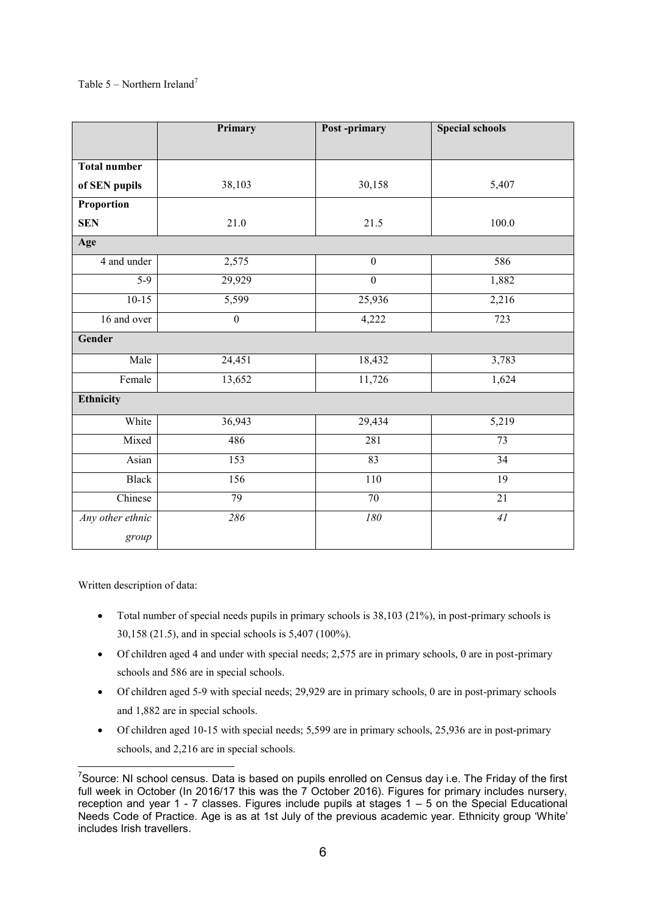## Table 5 – Northern Ireland<sup>7</sup>

|                     | Primary          | Post-primary     | <b>Special schools</b> |
|---------------------|------------------|------------------|------------------------|
|                     |                  |                  |                        |
| <b>Total number</b> |                  |                  |                        |
| of SEN pupils       | 38,103           | 30,158           | 5,407                  |
| Proportion          |                  |                  |                        |
| <b>SEN</b>          | 21.0             | 21.5             | 100.0                  |
| Age                 |                  |                  |                        |
| 4 and under         | 2,575            | $\mathbf{0}$     | 586                    |
| $5-9$               | 29,929           | $\boldsymbol{0}$ | 1,882                  |
| $10-15$             | 5,599            | 25,936           | 2,216                  |
| 16 and over         | $\boldsymbol{0}$ | 4,222            | 723                    |
| Gender              |                  |                  |                        |
| Male                | 24,451           | 18,432           | 3,783                  |
| Female              | 13,652           | 11,726           | 1,624                  |
| Ethnicity           |                  |                  |                        |
| White               | 36,943           | 29,434           | 5,219                  |
| Mixed               | 486              | 281              | 73                     |
| Asian               | $\overline{153}$ | 83               | 34                     |
| <b>Black</b>        | 156              | 110              | $\overline{19}$        |
| Chinese             | 79               | $\overline{70}$  | $\overline{21}$        |
| Any other ethnic    | 286              | ${\it l}80$      | 41                     |
| group               |                  |                  |                        |

- Total number of special needs pupils in primary schools is 38,103 (21%), in post-primary schools is 30,158 (21.5), and in special schools is 5,407 (100%).
- Of children aged 4 and under with special needs; 2,575 are in primary schools, 0 are in post-primary schools and 586 are in special schools.
- Of children aged 5-9 with special needs; 29,929 are in primary schools, 0 are in post-primary schools and 1,882 are in special schools.
- Of children aged 10-15 with special needs; 5,599 are in primary schools, 25,936 are in post-primary schools, and 2,216 are in special schools.

 7 Source: NI school census. Data is based on pupils enrolled on Census day i.e. The Friday of the first full week in October (In 2016/17 this was the 7 October 2016). Figures for primary includes nursery, reception and year  $1 - 7$  classes. Figures include pupils at stages  $1 - 5$  on the Special Educational Needs Code of Practice. Age is as at 1st July of the previous academic year. Ethnicity group 'White' includes Irish travellers.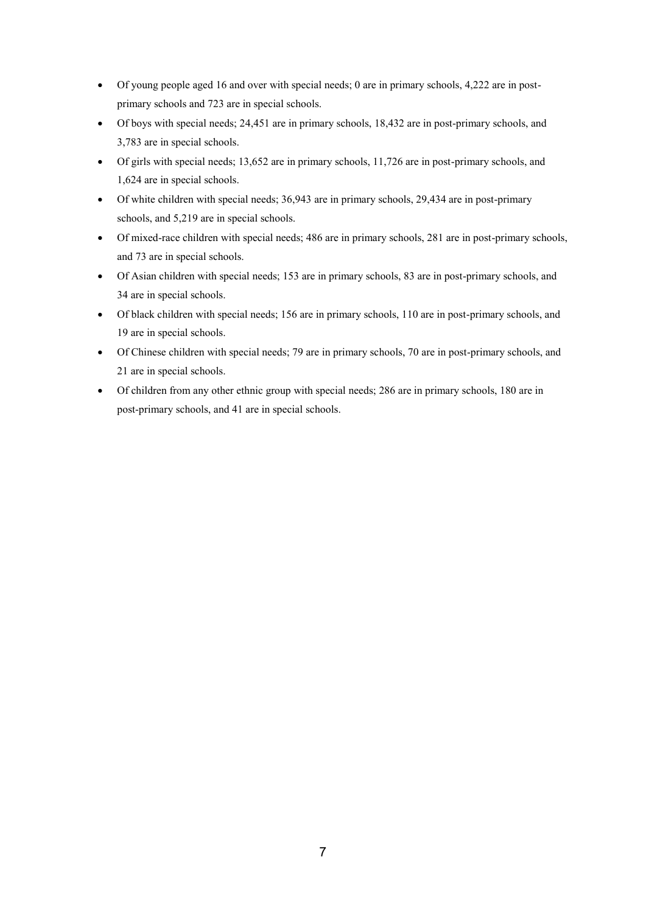- Of young people aged 16 and over with special needs; 0 are in primary schools, 4,222 are in postprimary schools and 723 are in special schools.
- Of boys with special needs; 24,451 are in primary schools, 18,432 are in post-primary schools, and 3,783 are in special schools.
- Of girls with special needs; 13,652 are in primary schools, 11,726 are in post-primary schools, and 1,624 are in special schools.
- Of white children with special needs; 36,943 are in primary schools, 29,434 are in post-primary schools, and 5,219 are in special schools.
- Of mixed-race children with special needs; 486 are in primary schools, 281 are in post-primary schools, and 73 are in special schools.
- Of Asian children with special needs; 153 are in primary schools, 83 are in post-primary schools, and 34 are in special schools.
- Of black children with special needs; 156 are in primary schools, 110 are in post-primary schools, and 19 are in special schools.
- Of Chinese children with special needs; 79 are in primary schools, 70 are in post-primary schools, and 21 are in special schools.
- Of children from any other ethnic group with special needs; 286 are in primary schools, 180 are in post-primary schools, and 41 are in special schools.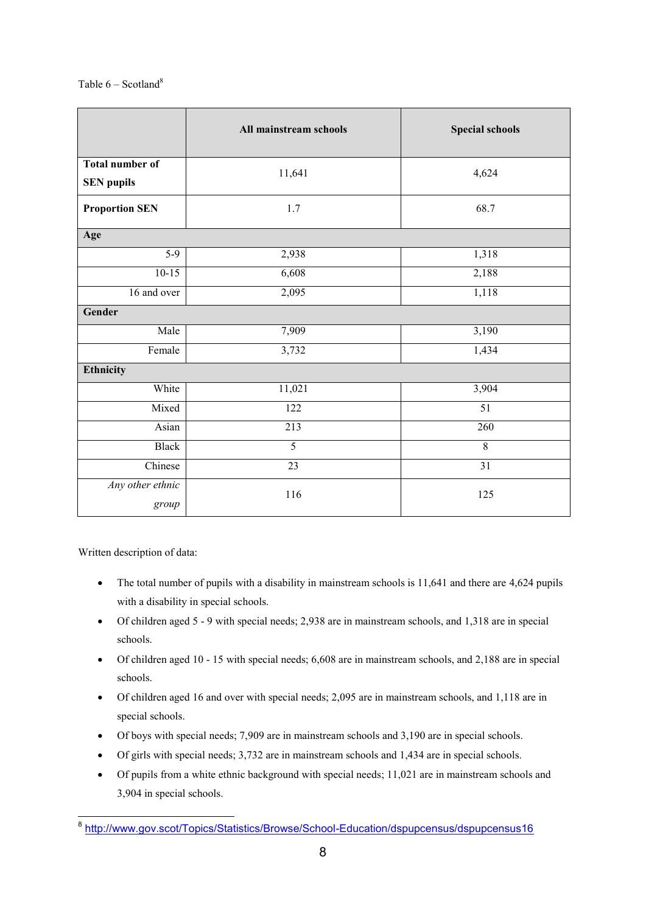|                                             | All mainstream schools | <b>Special schools</b> |
|---------------------------------------------|------------------------|------------------------|
| <b>Total number of</b><br><b>SEN</b> pupils | 11,641                 | 4,624                  |
| <b>Proportion SEN</b>                       | 1.7                    | 68.7                   |
| Age                                         |                        |                        |
| $5-9$                                       | 2,938                  | 1,318                  |
| $10-15$                                     | 6,608                  | 2,188                  |
| 16 and over                                 | 2,095                  | 1,118                  |
| Gender                                      |                        |                        |
| Male                                        | 7,909                  | 3,190                  |
| Female                                      | 3,732                  | 1,434                  |
| Ethnicity                                   |                        |                        |
| White                                       | 11,021                 | 3,904                  |
| Mixed                                       | $\overline{122}$       | $\overline{51}$        |
| Asian                                       | 213                    | 260                    |
| <b>Black</b>                                | $\overline{5}$         | $\overline{8}$         |
| Chinese                                     | 23                     | 31                     |
| Any other ethnic<br>group                   | 116                    | 125                    |

- The total number of pupils with a disability in mainstream schools is 11,641 and there are 4,624 pupils with a disability in special schools.
- Of children aged 5 9 with special needs; 2,938 are in mainstream schools, and 1,318 are in special schools.
- Of children aged 10 15 with special needs; 6,608 are in mainstream schools, and 2,188 are in special schools.
- Of children aged 16 and over with special needs; 2,095 are in mainstream schools, and 1,118 are in special schools.
- Of boys with special needs; 7,909 are in mainstream schools and 3,190 are in special schools.
- Of girls with special needs; 3,732 are in mainstream schools and 1,434 are in special schools.
- Of pupils from a white ethnic background with special needs; 11,021 are in mainstream schools and 3,904 in special schools.

 8 <http://www.gov.scot/Topics/Statistics/Browse/School-Education/dspupcensus/dspupcensus16>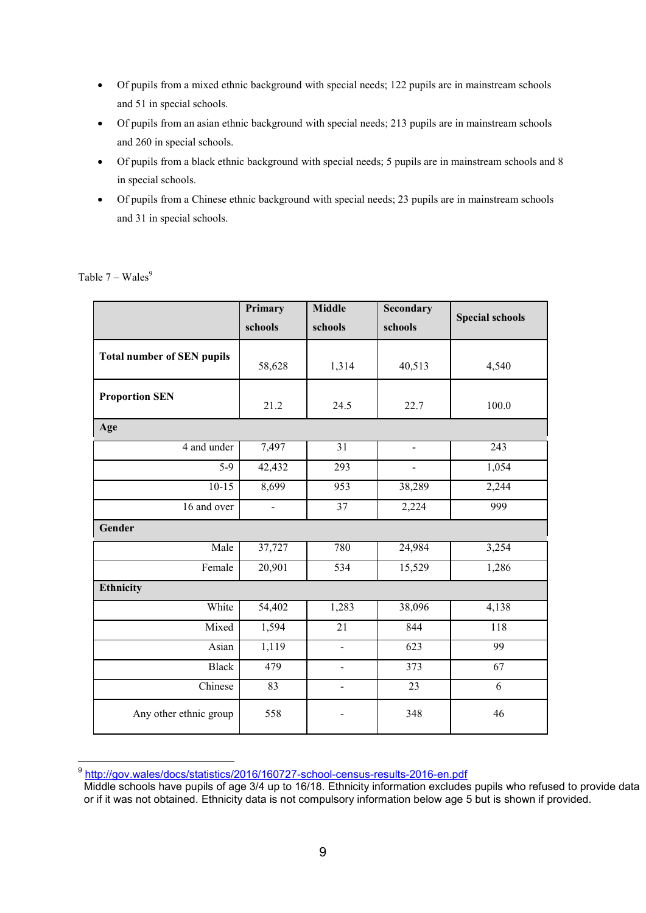- Of pupils from a mixed ethnic background with special needs; 122 pupils are in mainstream schools and 51 in special schools.
- Of pupils from an asian ethnic background with special needs; 213 pupils are in mainstream schools and 260 in special schools.
- Of pupils from a black ethnic background with special needs; 5 pupils are in mainstream schools and 8 in special schools.
- Of pupils from a Chinese ethnic background with special needs; 23 pupils are in mainstream schools and 31 in special schools.

|                                   | Primary                  | <b>Middle</b>  | <b>Secondary</b>             |                        |
|-----------------------------------|--------------------------|----------------|------------------------------|------------------------|
|                                   | schools                  | schools        | schools                      | <b>Special schools</b> |
| <b>Total number of SEN pupils</b> | 58,628                   | 1,314          | 40,513                       | 4,540                  |
| <b>Proportion SEN</b>             | 21.2                     | 24.5           | 22.7                         | 100.0                  |
| Age                               |                          |                |                              |                        |
| 4 and under                       | 7,497                    | 31             | $\qquad \qquad \blacksquare$ | 243                    |
| $5-9$                             | 42,432                   | 293            |                              | 1,054                  |
| $10-15$                           | 8,699                    | 953            | 38,289                       | 2,244                  |
| 16 and over                       | $\overline{\phantom{0}}$ | 37             | 2,224                        | 999                    |
| Gender                            |                          |                |                              |                        |
| Male                              | 37,727                   | 780            | 24,984                       | 3,254                  |
| Female                            | 20,901                   | 534            | 15,529                       | 1,286                  |
| <b>Ethnicity</b>                  |                          |                |                              |                        |
| White                             | 54,402                   | 1,283          | 38,096                       | 4,138                  |
| Mixed                             | 1,594                    | 21             | 844                          | 118                    |
| Asian                             | 1,119                    | L.             | 623                          | 99                     |
| <b>Black</b>                      | 479                      | $\blacksquare$ | 373                          | 67                     |
| Chinese                           | 83                       | $\blacksquare$ | 23                           | 6                      |
| Any other ethnic group            | 558                      | -              | 348                          | 46                     |

Table  $7 - Wales<sup>9</sup>$ 

9 <http://gov.wales/docs/statistics/2016/160727-school-census-results-2016-en.pdf>

Middle schools have pupils of age 3/4 up to 16/18. Ethnicity information excludes pupils who refused to provide data or if it was not obtained. Ethnicity data is not compulsory information below age 5 but is shown if provided.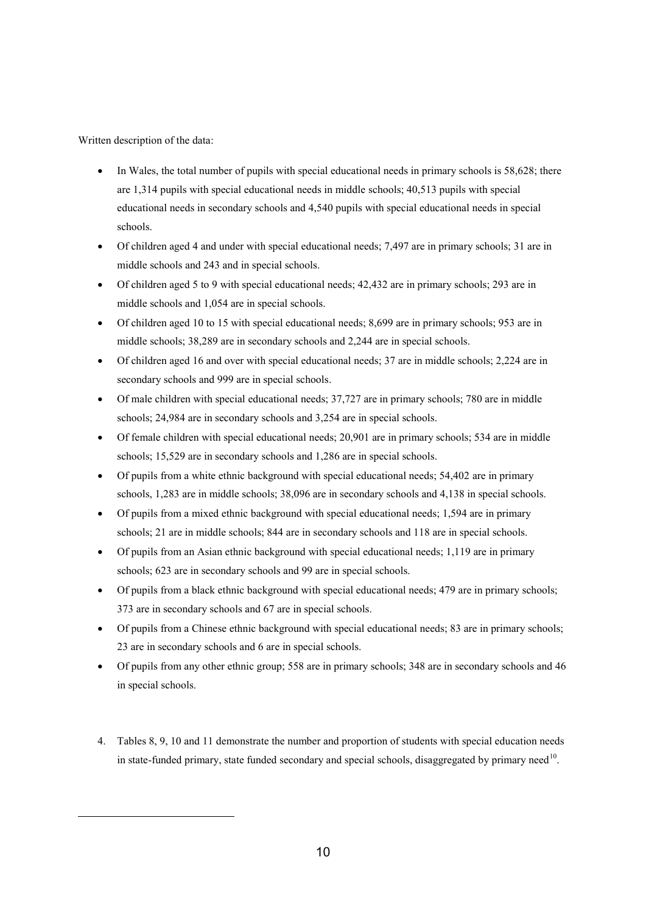<u>.</u>

- In Wales, the total number of pupils with special educational needs in primary schools is 58,628; there are 1,314 pupils with special educational needs in middle schools; 40,513 pupils with special educational needs in secondary schools and 4,540 pupils with special educational needs in special schools.
- Of children aged 4 and under with special educational needs; 7,497 are in primary schools; 31 are in middle schools and 243 and in special schools.
- Of children aged 5 to 9 with special educational needs; 42,432 are in primary schools; 293 are in middle schools and 1,054 are in special schools.
- Of children aged 10 to 15 with special educational needs; 8,699 are in primary schools; 953 are in middle schools; 38,289 are in secondary schools and 2,244 are in special schools.
- Of children aged 16 and over with special educational needs; 37 are in middle schools; 2,224 are in secondary schools and 999 are in special schools.
- Of male children with special educational needs; 37,727 are in primary schools; 780 are in middle schools; 24,984 are in secondary schools and 3,254 are in special schools.
- Of female children with special educational needs; 20,901 are in primary schools; 534 are in middle schools; 15,529 are in secondary schools and 1,286 are in special schools.
- Of pupils from a white ethnic background with special educational needs; 54,402 are in primary schools, 1,283 are in middle schools; 38,096 are in secondary schools and 4,138 in special schools.
- Of pupils from a mixed ethnic background with special educational needs; 1,594 are in primary schools; 21 are in middle schools; 844 are in secondary schools and 118 are in special schools.
- Of pupils from an Asian ethnic background with special educational needs; 1,119 are in primary schools; 623 are in secondary schools and 99 are in special schools.
- Of pupils from a black ethnic background with special educational needs; 479 are in primary schools; 373 are in secondary schools and 67 are in special schools.
- Of pupils from a Chinese ethnic background with special educational needs; 83 are in primary schools; 23 are in secondary schools and 6 are in special schools.
- Of pupils from any other ethnic group; 558 are in primary schools; 348 are in secondary schools and 46 in special schools.
- 4. Tables 8, 9, 10 and 11 demonstrate the number and proportion of students with special education needs in state-funded primary, state funded secondary and special schools, disaggregated by primary need<sup>10</sup>.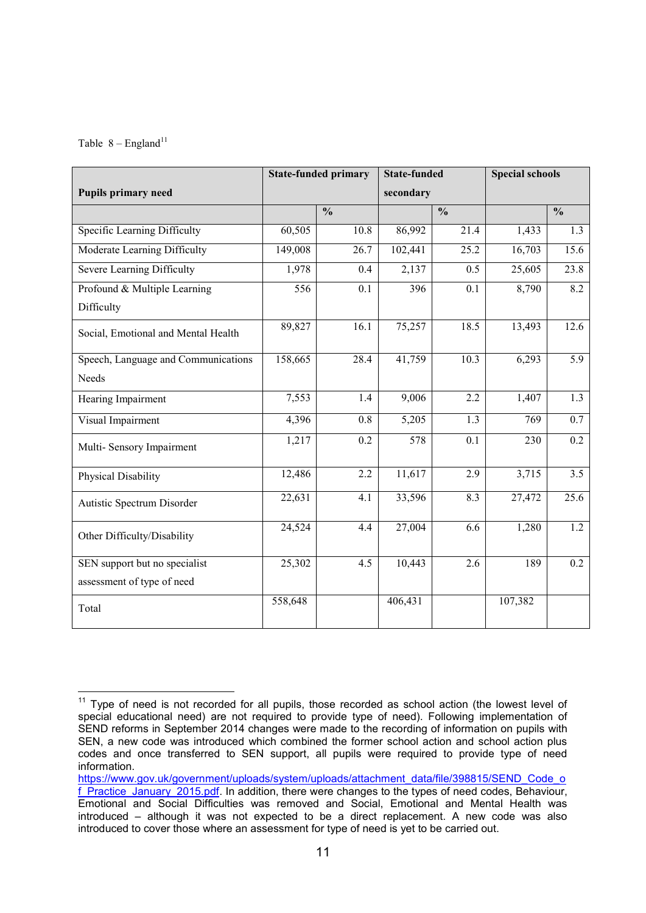#### Table  $8 -$  England<sup>11</sup>

|                                     | <b>State-funded primary</b> |                          | <b>State-funded</b> |                          | <b>Special schools</b> |                          |
|-------------------------------------|-----------------------------|--------------------------|---------------------|--------------------------|------------------------|--------------------------|
| <b>Pupils primary need</b>          |                             |                          | secondary           |                          |                        |                          |
|                                     |                             | $\overline{\frac{0}{0}}$ |                     | $\overline{\frac{0}{0}}$ |                        | $\overline{\frac{0}{0}}$ |
| Specific Learning Difficulty        | 60,505                      | 10.8                     | 86,992              | 21.4                     | 1,433                  | 1.3                      |
| Moderate Learning Difficulty        | 149,008                     | 26.7                     | 102,441             | 25.2                     | 16,703                 | 15.6                     |
| Severe Learning Difficulty          | 1,978                       | 0.4                      | 2,137               | 0.5                      | 25,605                 | 23.8                     |
| Profound & Multiple Learning        | 556                         | 0.1                      | 396                 | 0.1                      | 8,790                  | 8.2                      |
| Difficulty                          |                             |                          |                     |                          |                        |                          |
| Social, Emotional and Mental Health | 89,827                      | 16.1                     | 75,257              | 18.5                     | 13,493                 | 12.6                     |
| Speech, Language and Communications | 158,665                     | 28.4                     | 41,759              | 10.3                     | 6,293                  | 5.9                      |
| Needs                               |                             |                          |                     |                          |                        |                          |
| Hearing Impairment                  | 7,553                       | 1.4                      | 9,006               | 2.2                      | 1,407                  | 1.3                      |
| Visual Impairment                   | 4,396                       | 0.8                      | 5,205               | 1.3                      | 769                    | 0.7                      |
| Multi-Sensory Impairment            | 1,217                       | 0.2                      | 578                 | 0.1                      | 230                    | 0.2                      |
| Physical Disability                 | 12,486                      | 2.2                      | 11,617              | 2.9                      | 3,715                  | $\overline{3.5}$         |
| Autistic Spectrum Disorder          | 22,631                      | 4.1                      | 33,596              | 8.3                      | 27,472                 | 25.6                     |
| Other Difficulty/Disability         | 24,524                      | 4.4                      | 27,004              | 6.6                      | 1,280                  | 1.2                      |
| SEN support but no specialist       | 25,302                      | 4.5                      | 10,443              | 2.6                      | 189                    | $\overline{0.2}$         |
| assessment of type of need          |                             |                          |                     |                          |                        |                          |
| Total                               | 558,648                     |                          | 406,431             |                          | 107,382                |                          |

 <sup>11</sup> Type of need is not recorded for all pupils, those recorded as school action (the lowest level of special educational need) are not required to provide type of need). Following implementation of SEND reforms in September 2014 changes were made to the recording of information on pupils with SEN, a new code was introduced which combined the former school action and school action plus codes and once transferred to SEN support, all pupils were required to provide type of need information.

[https://www.gov.uk/government/uploads/system/uploads/attachment\\_data/file/398815/SEND\\_Code\\_o](https://www.gov.uk/government/uploads/system/uploads/attachment_data/file/398815/SEND_Code_of_Practice_January_2015.pdf) [f\\_Practice\\_January\\_2015.pdf.](https://www.gov.uk/government/uploads/system/uploads/attachment_data/file/398815/SEND_Code_of_Practice_January_2015.pdf) In addition, there were changes to the types of need codes, Behaviour, Emotional and Social Difficulties was removed and Social, Emotional and Mental Health was introduced – although it was not expected to be a direct replacement. A new code was also introduced to cover those where an assessment for type of need is yet to be carried out.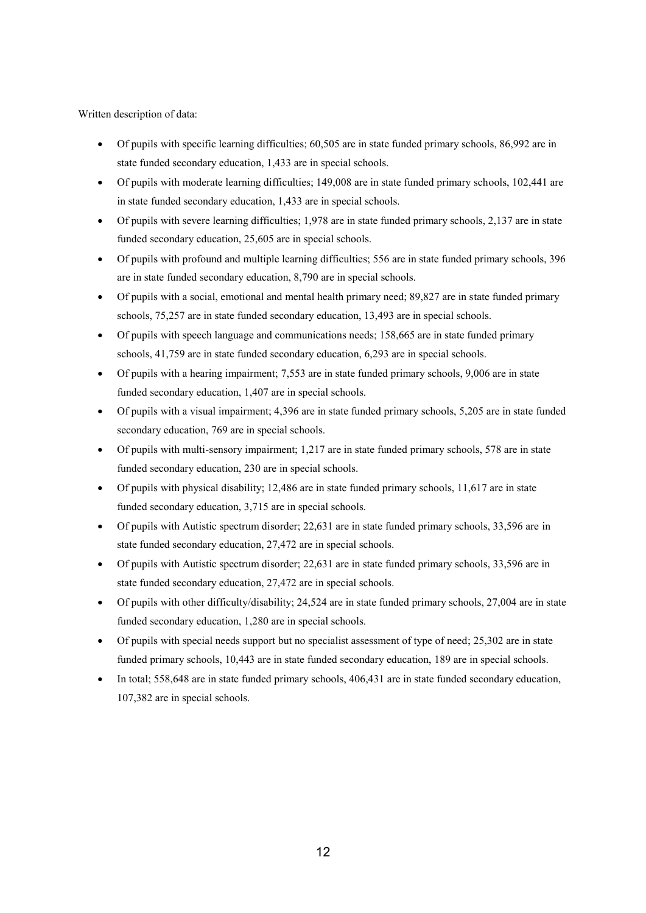- Of pupils with specific learning difficulties; 60,505 are in state funded primary schools, 86,992 are in state funded secondary education, 1,433 are in special schools.
- Of pupils with moderate learning difficulties; 149,008 are in state funded primary schools, 102,441 are in state funded secondary education, 1,433 are in special schools.
- Of pupils with severe learning difficulties; 1,978 are in state funded primary schools, 2,137 are in state funded secondary education, 25,605 are in special schools.
- Of pupils with profound and multiple learning difficulties; 556 are in state funded primary schools, 396 are in state funded secondary education, 8,790 are in special schools.
- Of pupils with a social, emotional and mental health primary need; 89,827 are in state funded primary schools, 75,257 are in state funded secondary education, 13,493 are in special schools.
- Of pupils with speech language and communications needs; 158,665 are in state funded primary schools, 41,759 are in state funded secondary education, 6,293 are in special schools.
- Of pupils with a hearing impairment; 7,553 are in state funded primary schools, 9,006 are in state funded secondary education, 1,407 are in special schools.
- Of pupils with a visual impairment; 4,396 are in state funded primary schools, 5,205 are in state funded secondary education, 769 are in special schools.
- Of pupils with multi-sensory impairment; 1,217 are in state funded primary schools, 578 are in state funded secondary education, 230 are in special schools.
- $\bullet$  Of pupils with physical disability; 12,486 are in state funded primary schools, 11,617 are in state funded secondary education, 3,715 are in special schools.
- Of pupils with Autistic spectrum disorder; 22,631 are in state funded primary schools, 33,596 are in state funded secondary education, 27,472 are in special schools.
- Of pupils with Autistic spectrum disorder; 22,631 are in state funded primary schools, 33,596 are in state funded secondary education, 27,472 are in special schools.
- Of pupils with other difficulty/disability; 24,524 are in state funded primary schools, 27,004 are in state funded secondary education, 1,280 are in special schools.
- Of pupils with special needs support but no specialist assessment of type of need; 25,302 are in state funded primary schools, 10,443 are in state funded secondary education, 189 are in special schools.
- In total; 558,648 are in state funded primary schools, 406,431 are in state funded secondary education, 107,382 are in special schools.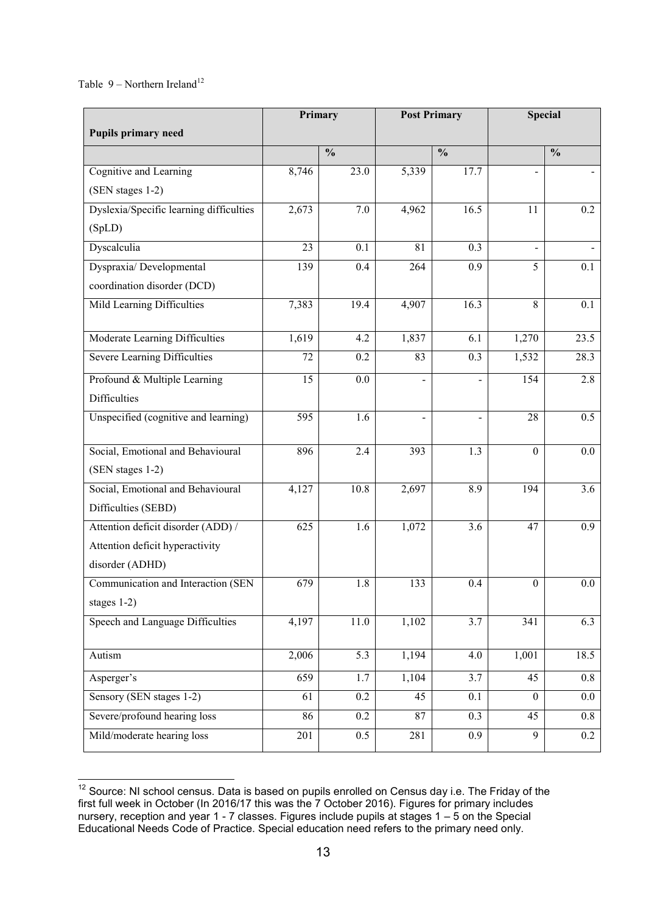Table  $9$  – Northern Ireland<sup>12</sup>

| <b>Pupils primary need</b>              |       | Primary<br><b>Post Primary</b> |                          |                | <b>Special</b>   |                |  |
|-----------------------------------------|-------|--------------------------------|--------------------------|----------------|------------------|----------------|--|
|                                         |       | $\frac{0}{0}$                  |                          | $\frac{0}{0}$  |                  | $\frac{0}{0}$  |  |
| Cognitive and Learning                  | 8,746 | 23.0                           | 5,339                    | 17.7           | $\overline{a}$   | $\blacksquare$ |  |
| (SEN stages 1-2)                        |       |                                |                          |                |                  |                |  |
| Dyslexia/Specific learning difficulties | 2,673 | 7.0                            | 4,962                    | 16.5           | 11               | 0.2            |  |
| (SpLD)                                  |       |                                |                          |                |                  |                |  |
| Dyscalculia                             | 23    | 0.1                            | 81                       | 0.3            | $\blacksquare$   |                |  |
| Dyspraxia/Developmental                 | 139   | 0.4                            | 264                      | 0.9            | 5                | 0.1            |  |
| coordination disorder (DCD)             |       |                                |                          |                |                  |                |  |
| Mild Learning Difficulties              | 7,383 | 19.4                           | 4,907                    | 16.3           | $\overline{8}$   | 0.1            |  |
| Moderate Learning Difficulties          | 1,619 | 4.2                            | 1,837                    | 6.1            | 1,270            | 23.5           |  |
| <b>Severe Learning Difficulties</b>     | 72    | 0.2                            | 83                       | 0.3            | 1,532            | 28.3           |  |
| Profound & Multiple Learning            | 15    | $0.0\,$                        | $\overline{\phantom{0}}$ | $\overline{a}$ | 154              | 2.8            |  |
| <b>Difficulties</b>                     |       |                                |                          |                |                  |                |  |
| Unspecified (cognitive and learning)    | 595   | 1.6                            | -                        | $\overline{a}$ | 28               | 0.5            |  |
| Social, Emotional and Behavioural       | 896   | 2.4                            | 393                      | 1.3            | $\boldsymbol{0}$ | $0.0\,$        |  |
| (SEN stages 1-2)                        |       |                                |                          |                |                  |                |  |
| Social, Emotional and Behavioural       | 4,127 | 10.8                           | 2,697                    | 8.9            | 194              | 3.6            |  |
| Difficulties (SEBD)                     |       |                                |                          |                |                  |                |  |
| Attention deficit disorder (ADD) /      | 625   | 1.6                            | 1,072                    | 3.6            | 47               | 0.9            |  |
| Attention deficit hyperactivity         |       |                                |                          |                |                  |                |  |
| disorder (ADHD)                         |       |                                |                          |                |                  |                |  |
| Communication and Interaction (SEN      | 679   | 1.8                            | 133                      | 0.4            | $\boldsymbol{0}$ | $0.0\,$        |  |
| stages $1-2$ )                          |       |                                |                          |                |                  |                |  |
| Speech and Language Difficulties        | 4,197 | 11.0                           | 1,102                    | 3.7            | 341              | 6.3            |  |
| Autism                                  | 2,006 | $\overline{5.3}$               | 1,194                    | 4.0            | 1,001            | 18.5           |  |
| Asperger's                              | 659   | 1.7                            | 1,104                    | 3.7            | 45               | 0.8            |  |
| Sensory (SEN stages 1-2)                | 61    | 0.2                            | 45                       | 0.1            | $\boldsymbol{0}$ | $0.0\,$        |  |
| Severe/profound hearing loss            | 86    | 0.2                            | 87                       | 0.3            | 45               | 0.8            |  |
| Mild/moderate hearing loss              | 201   | 0.5                            | 281                      | 0.9            | 9                | 0.2            |  |

  $12$  Source: NI school census. Data is based on pupils enrolled on Census day i.e. The Friday of the first full week in October (In 2016/17 this was the 7 October 2016). Figures for primary includes nursery, reception and year 1 - 7 classes. Figures include pupils at stages 1 – 5 on the Special Educational Needs Code of Practice. Special education need refers to the primary need only.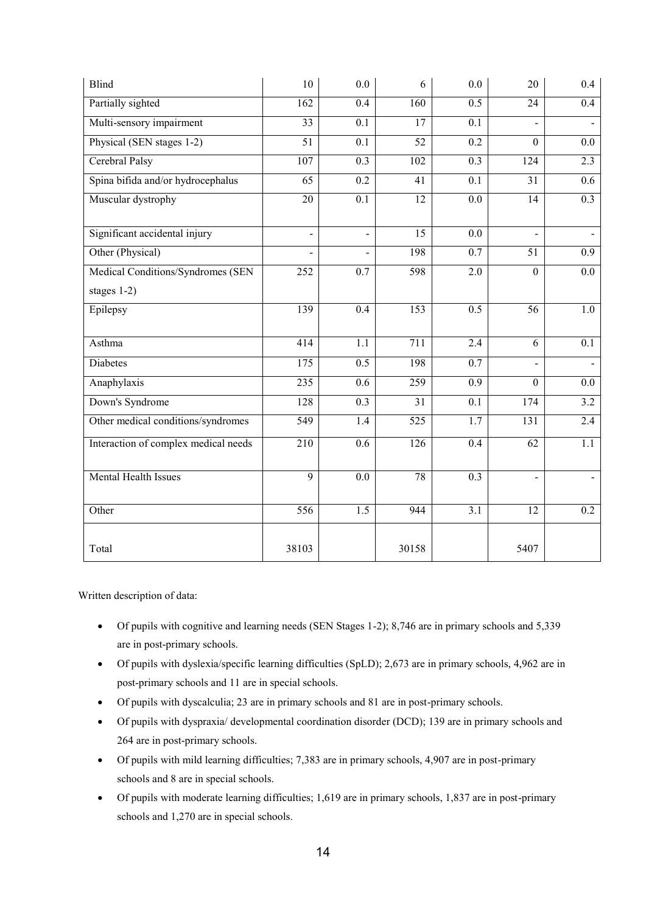| <b>Blind</b>                         | 10               | 0.0              | 6                | 0.0              | 20               | $0.4\,$          |
|--------------------------------------|------------------|------------------|------------------|------------------|------------------|------------------|
| Partially sighted                    | 162              | 0.4              | 160              | 0.5              | 24               | 0.4              |
| Multi-sensory impairment             | $\overline{33}$  | 0.1              | 17               | 0.1              |                  |                  |
| Physical (SEN stages 1-2)            | 51               | $\overline{0.1}$ | 52               | 0.2              | $\mathbf{0}$     | $\overline{0.0}$ |
| Cerebral Palsy                       | 107              | 0.3              | 102              | 0.3              | 124              | 2.3              |
| Spina bifida and/or hydrocephalus    | 65               | 0.2              | 41               | 0.1              | 31               | 0.6              |
| Muscular dystrophy                   | 20               | 0.1              | 12               | 0.0              | 14               | 0.3              |
| Significant accidental injury        | $\Box$           | $\overline{a}$   | $\overline{15}$  | 0.0              | $\blacksquare$   | $\mathbf{r}$     |
| Other (Physical)                     |                  |                  | 198              | $\overline{0.7}$ | 51               | 0.9              |
| Medical Conditions/Syndromes (SEN    | 252              | 0.7              | 598              | $\overline{2.0}$ | $\mathbf{0}$     | 0.0              |
| stages $1-2$ )                       |                  |                  |                  |                  |                  |                  |
| Epilepsy                             | 139              | 0.4              | 153              | $\overline{0.5}$ | 56               | 1.0              |
| Asthma                               | 414              | 1.1              | 711              | 2.4              | 6                | 0.1              |
| Diabetes                             | 175              | 0.5              | 198              | 0.7              |                  |                  |
| Anaphylaxis                          | 235              | 0.6              | 259              | 0.9              | $\boldsymbol{0}$ | 0.0              |
| Down's Syndrome                      | 128              | $\overline{0.3}$ | $\overline{31}$  | 0.1              | 174              | $\overline{3.2}$ |
| Other medical conditions/syndromes   | 549              | 1.4              | 525              | 1.7              | 131              | 2.4              |
| Interaction of complex medical needs | $\overline{210}$ | 0.6              | $\overline{126}$ | $\overline{0.4}$ | $\overline{62}$  | $\overline{1.1}$ |
| Mental Health Issues                 | $\overline{9}$   | 0.0              | 78               | $\overline{0.3}$ |                  |                  |
| Other                                | 556              | 1.5              | 944              | $\overline{3.1}$ | 12               | 0.2              |
| Total                                | 38103            |                  | 30158            |                  | 5407             |                  |

- Of pupils with cognitive and learning needs (SEN Stages 1-2); 8,746 are in primary schools and 5,339 are in post-primary schools.
- Of pupils with dyslexia/specific learning difficulties (SpLD); 2,673 are in primary schools, 4,962 are in post-primary schools and 11 are in special schools.
- Of pupils with dyscalculia; 23 are in primary schools and 81 are in post-primary schools.
- Of pupils with dyspraxia/ developmental coordination disorder (DCD); 139 are in primary schools and 264 are in post-primary schools.
- Of pupils with mild learning difficulties; 7,383 are in primary schools, 4,907 are in post-primary schools and 8 are in special schools.
- Of pupils with moderate learning difficulties; 1,619 are in primary schools, 1,837 are in post-primary schools and 1,270 are in special schools.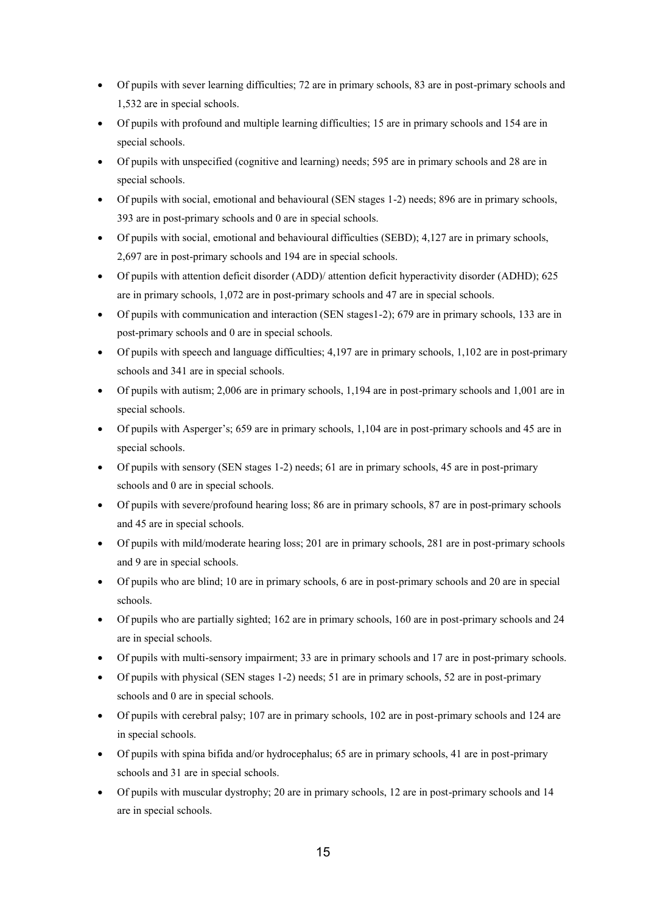- Of pupils with sever learning difficulties; 72 are in primary schools, 83 are in post-primary schools and 1,532 are in special schools.
- Of pupils with profound and multiple learning difficulties; 15 are in primary schools and 154 are in special schools.
- Of pupils with unspecified (cognitive and learning) needs; 595 are in primary schools and 28 are in special schools.
- Of pupils with social, emotional and behavioural (SEN stages 1-2) needs; 896 are in primary schools, 393 are in post-primary schools and 0 are in special schools.
- Of pupils with social, emotional and behavioural difficulties (SEBD); 4,127 are in primary schools, 2,697 are in post-primary schools and 194 are in special schools.
- Of pupils with attention deficit disorder (ADD)/ attention deficit hyperactivity disorder (ADHD); 625 are in primary schools, 1,072 are in post-primary schools and 47 are in special schools.
- Of pupils with communication and interaction (SEN stages1-2); 679 are in primary schools, 133 are in post-primary schools and 0 are in special schools.
- Of pupils with speech and language difficulties; 4,197 are in primary schools, 1,102 are in post-primary schools and 341 are in special schools.
- Of pupils with autism; 2,006 are in primary schools, 1,194 are in post-primary schools and 1,001 are in special schools.
- Of pupils with Asperger's; 659 are in primary schools, 1,104 are in post-primary schools and 45 are in special schools.
- Of pupils with sensory (SEN stages 1-2) needs; 61 are in primary schools, 45 are in post-primary schools and 0 are in special schools.
- Of pupils with severe/profound hearing loss; 86 are in primary schools, 87 are in post-primary schools and 45 are in special schools.
- Of pupils with mild/moderate hearing loss; 201 are in primary schools, 281 are in post-primary schools and 9 are in special schools.
- Of pupils who are blind; 10 are in primary schools, 6 are in post-primary schools and 20 are in special schools.
- Of pupils who are partially sighted; 162 are in primary schools, 160 are in post-primary schools and 24 are in special schools.
- Of pupils with multi-sensory impairment; 33 are in primary schools and 17 are in post-primary schools.
- Of pupils with physical (SEN stages 1-2) needs; 51 are in primary schools, 52 are in post-primary schools and 0 are in special schools.
- Of pupils with cerebral palsy; 107 are in primary schools, 102 are in post-primary schools and 124 are in special schools.
- Of pupils with spina bifida and/or hydrocephalus; 65 are in primary schools, 41 are in post-primary schools and 31 are in special schools.
- Of pupils with muscular dystrophy; 20 are in primary schools, 12 are in post-primary schools and 14 are in special schools.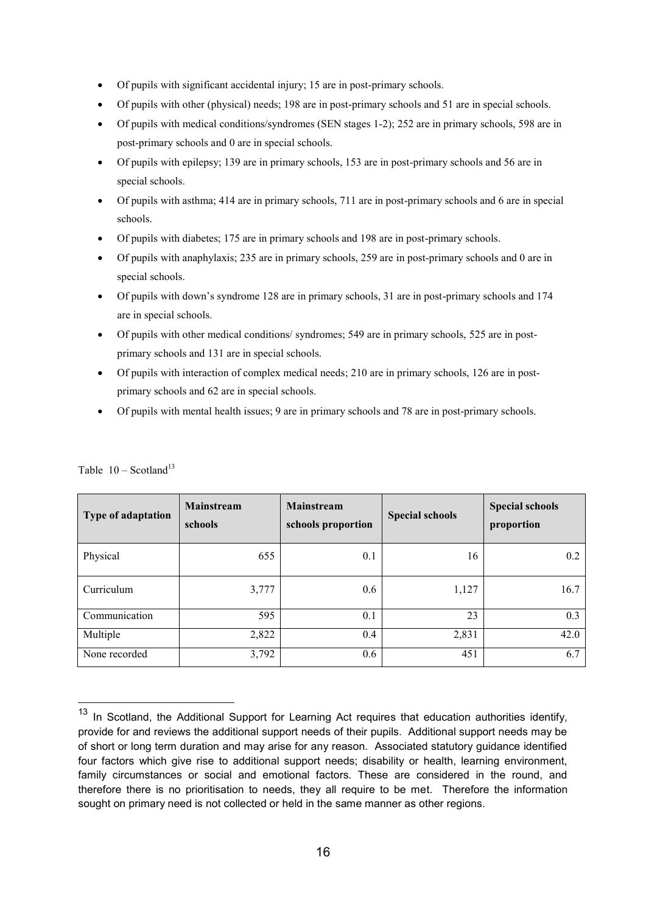- Of pupils with significant accidental injury; 15 are in post-primary schools.
- Of pupils with other (physical) needs; 198 are in post-primary schools and 51 are in special schools.
- Of pupils with medical conditions/syndromes (SEN stages 1-2); 252 are in primary schools, 598 are in post-primary schools and 0 are in special schools.
- Of pupils with epilepsy; 139 are in primary schools, 153 are in post-primary schools and 56 are in special schools.
- Of pupils with asthma; 414 are in primary schools, 711 are in post-primary schools and 6 are in special schools.
- Of pupils with diabetes; 175 are in primary schools and 198 are in post-primary schools.
- Of pupils with anaphylaxis; 235 are in primary schools, 259 are in post-primary schools and 0 are in special schools.
- Of pupils with down's syndrome 128 are in primary schools, 31 are in post-primary schools and 174 are in special schools.
- Of pupils with other medical conditions/ syndromes; 549 are in primary schools, 525 are in postprimary schools and 131 are in special schools.
- Of pupils with interaction of complex medical needs; 210 are in primary schools, 126 are in postprimary schools and 62 are in special schools.
- Of pupils with mental health issues; 9 are in primary schools and 78 are in post-primary schools.

| Type of adaptation | <b>Mainstream</b><br>schools | <b>Mainstream</b><br>schools proportion | <b>Special schools</b> | <b>Special schools</b><br>proportion |
|--------------------|------------------------------|-----------------------------------------|------------------------|--------------------------------------|
| Physical           | 655                          | 0.1                                     | 16                     | 0.2                                  |
| Curriculum         | 3,777                        | 0.6                                     | 1,127                  | 16.7                                 |
| Communication      | 595                          | 0.1                                     | 23                     | 0.3                                  |
| Multiple           | 2,822                        | 0.4                                     | 2,831                  | 42.0                                 |
| None recorded      | 3,792                        | 0.6                                     | 451                    | 6.7                                  |

Table  $10 -$  Scotland<sup>13</sup>

 $\overline{a}$ 

<sup>&</sup>lt;sup>13</sup> In Scotland, the Additional Support for Learning Act requires that education authorities identify, provide for and reviews the additional support needs of their pupils. Additional support needs may be of short or long term duration and may arise for any reason. Associated statutory guidance identified four factors which give rise to additional support needs; disability or health, learning environment, family circumstances or social and emotional factors. These are considered in the round, and therefore there is no prioritisation to needs, they all require to be met. Therefore the information sought on primary need is not collected or held in the same manner as other regions.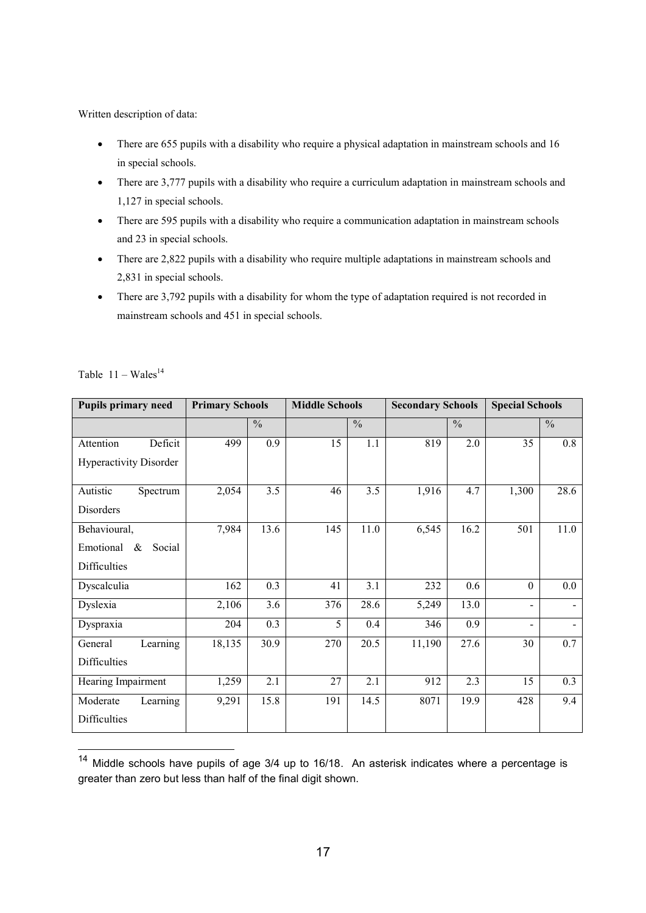- There are 655 pupils with a disability who require a physical adaptation in mainstream schools and 16 in special schools.
- There are 3,777 pupils with a disability who require a curriculum adaptation in mainstream schools and 1,127 in special schools.
- There are 595 pupils with a disability who require a communication adaptation in mainstream schools and 23 in special schools.
- There are 2,822 pupils with a disability who require multiple adaptations in mainstream schools and 2,831 in special schools.
- There are 3,792 pupils with a disability for whom the type of adaptation required is not recorded in mainstream schools and 451 in special schools.

| <b>Pupils primary need</b>    | <b>Primary Schools</b> |               |     | <b>Middle Schools</b> |        | <b>Secondary Schools</b> |          | <b>Special Schools</b> |  |
|-------------------------------|------------------------|---------------|-----|-----------------------|--------|--------------------------|----------|------------------------|--|
|                               |                        | $\frac{0}{0}$ |     | $\frac{0}{0}$         |        | $\frac{0}{0}$            |          | $\frac{0}{0}$          |  |
| Deficit<br>Attention          | 499                    | 0.9           | 15  | 1.1                   | 819    | 2.0                      | 35       | 0.8                    |  |
| <b>Hyperactivity Disorder</b> |                        |               |     |                       |        |                          |          |                        |  |
| Autistic<br>Spectrum          | 2,054                  | 3.5           | 46  | 3.5                   | 1,916  | 4.7                      | 1,300    | 28.6                   |  |
| Disorders                     |                        |               |     |                       |        |                          |          |                        |  |
| Behavioural,                  | 7,984                  | 13.6          | 145 | 11.0                  | 6,545  | 16.2                     | 501      | 11.0                   |  |
| Emotional<br>$\&$<br>Social   |                        |               |     |                       |        |                          |          |                        |  |
| Difficulties                  |                        |               |     |                       |        |                          |          |                        |  |
| Dyscalculia                   | 162                    | 0.3           | 41  | 3.1                   | 232    | 0.6                      | $\theta$ | 0.0                    |  |
| Dyslexia                      | 2,106                  | 3.6           | 376 | 28.6                  | 5,249  | 13.0                     |          |                        |  |
| Dyspraxia                     | 204                    | 0.3           | 5   | 0.4                   | 346    | 0.9                      |          |                        |  |
| Learning<br>General           | 18,135                 | 30.9          | 270 | 20.5                  | 11,190 | 27.6                     | 30       | 0.7                    |  |
| Difficulties                  |                        |               |     |                       |        |                          |          |                        |  |
| Hearing Impairment            | 1,259                  | 2.1           | 27  | 2.1                   | 912    | $\overline{2.3}$         | 15       | 0.3                    |  |
| Moderate<br>Learning          | 9,291                  | 15.8          | 191 | 14.5                  | 8071   | 19.9                     | 428      | 9.4                    |  |
| Difficulties                  |                        |               |     |                       |        |                          |          |                        |  |

Table  $11 - Wales<sup>14</sup>$ 

 $\overline{a}$ 

 $14$  Middle schools have pupils of age  $3/4$  up to  $16/18$ . An asterisk indicates where a percentage is greater than zero but less than half of the final digit shown.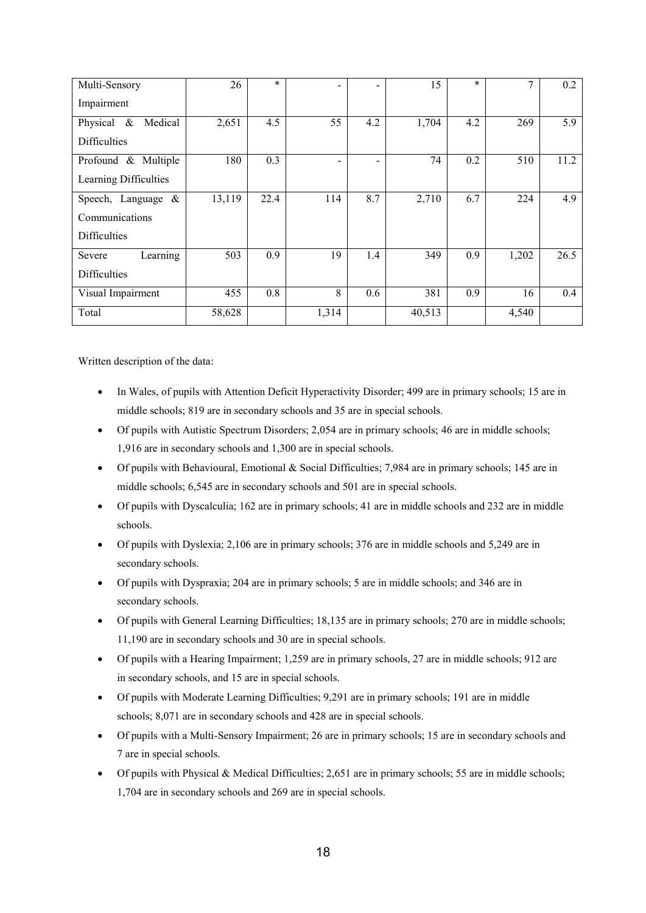| Multi-Sensory            | 26     | $\ast$ |       | $\overline{\phantom{a}}$ | 15     | $\ast$ |       | 0.2  |
|--------------------------|--------|--------|-------|--------------------------|--------|--------|-------|------|
| Impairment               |        |        |       |                          |        |        |       |      |
| Medical<br>Physical $\&$ | 2,651  | 4.5    | 55    | 4.2                      | 1,704  | 4.2    | 269   | 5.9  |
| <b>Difficulties</b>      |        |        |       |                          |        |        |       |      |
| Profound & Multiple      | 180    | 0.3    |       | $\overline{\phantom{a}}$ | 74     | 0.2    | 510   | 11.2 |
| Learning Difficulties    |        |        |       |                          |        |        |       |      |
| Speech, Language $\&$    | 13,119 | 22.4   | 114   | 8.7                      | 2,710  | 6.7    | 224   | 4.9  |
| Communications           |        |        |       |                          |        |        |       |      |
| <b>Difficulties</b>      |        |        |       |                          |        |        |       |      |
| Learning<br>Severe       | 503    | 0.9    | 19    | 1.4                      | 349    | 0.9    | 1,202 | 26.5 |
| <b>Difficulties</b>      |        |        |       |                          |        |        |       |      |
| Visual Impairment        | 455    | 0.8    | 8     | 0.6                      | 381    | 0.9    | 16    | 0.4  |
| Total                    | 58,628 |        | 1,314 |                          | 40,513 |        | 4,540 |      |

- In Wales, of pupils with Attention Deficit Hyperactivity Disorder; 499 are in primary schools; 15 are in middle schools; 819 are in secondary schools and 35 are in special schools.
- Of pupils with Autistic Spectrum Disorders; 2,054 are in primary schools; 46 are in middle schools; 1,916 are in secondary schools and 1,300 are in special schools.
- Of pupils with Behavioural, Emotional & Social Difficulties; 7,984 are in primary schools; 145 are in middle schools; 6,545 are in secondary schools and 501 are in special schools.
- Of pupils with Dyscalculia; 162 are in primary schools; 41 are in middle schools and 232 are in middle schools.
- Of pupils with Dyslexia; 2,106 are in primary schools; 376 are in middle schools and 5,249 are in secondary schools.
- Of pupils with Dyspraxia; 204 are in primary schools; 5 are in middle schools; and 346 are in secondary schools.
- Of pupils with General Learning Difficulties; 18,135 are in primary schools; 270 are in middle schools; 11,190 are in secondary schools and 30 are in special schools.
- Of pupils with a Hearing Impairment; 1,259 are in primary schools, 27 are in middle schools; 912 are in secondary schools, and 15 are in special schools.
- Of pupils with Moderate Learning Difficulties; 9,291 are in primary schools; 191 are in middle schools; 8,071 are in secondary schools and 428 are in special schools.
- Of pupils with a Multi-Sensory Impairment; 26 are in primary schools; 15 are in secondary schools and 7 are in special schools.
- $\bullet$  Of pupils with Physical & Medical Difficulties; 2,651 are in primary schools; 55 are in middle schools; 1,704 are in secondary schools and 269 are in special schools.